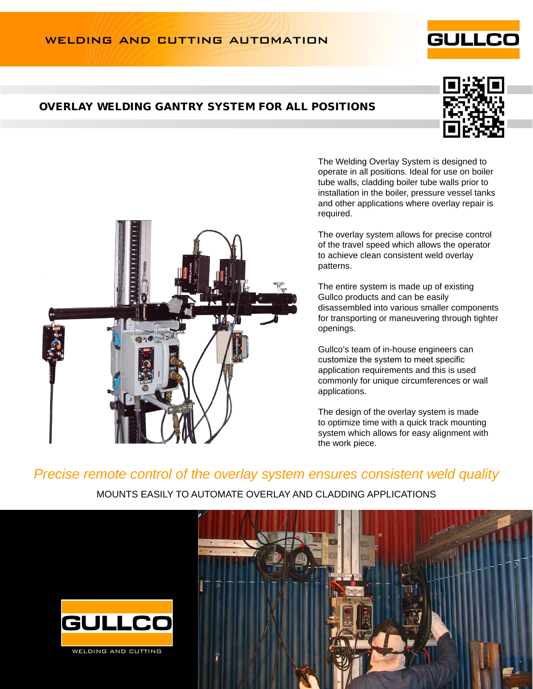### WELDING AND CUTTING AUTOMATION

#### overlay welding gantry system for all positions

The Welding Overlay System is designed to operate in all positions. Ideal for use on boiler tube walls, cladding boiler tube walls prior to installation in the boiler, pressure vessel tanks and other applications where overlay repair is required.

The overlay system allows for precise control of the travel speed which allows the operator to achieve clean consistent weld overlay patterns.

The entire system is made up of existing Gullco products and can be easily disassembled into various smaller components for transporting or maneuvering through tighter openings.

Gullco's team of in-house engineers can customize the system to meet specific application requirements and this is used commonly for unique circumferences or wall applications.

The design of the overlay system is made to optimize time with a quick track mounting system which allows for easy alignment with the work piece.

# *Precise remote control of the overlay system ensures consistent weld quality*

MOUNTS EASILY TO AUTOMATE OVERLAY AND CLADDING APPLICATIONS



WELDING AND CUTTING